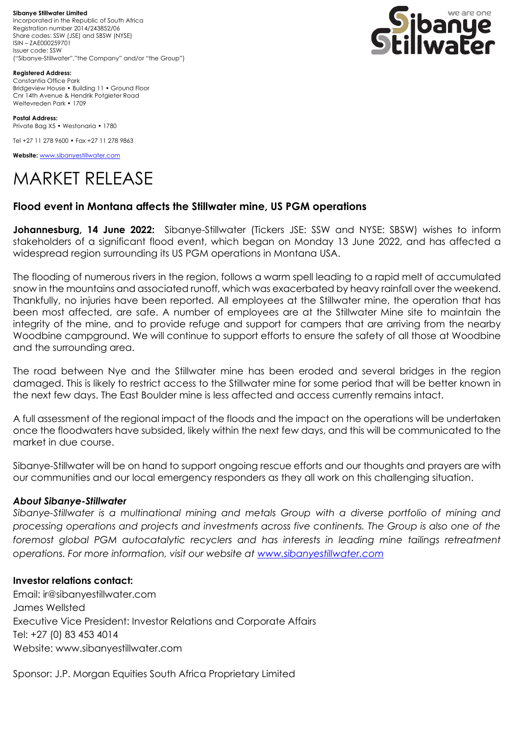**Sibanye Stillwater Limited**  Incorporated in the Republic of South Africa Registration number 2014/243852/06 Share codes: SSW (JSE) and SBSW (NYSE) ISIN – ZAE000259701 Issuer code: SSW ("Sibanye-Stillwater","the Company" and/or "the Group")



**Registered Address:** Constantia Office Park Bridgeview House • Building 11 • Ground Floor Cnr 14th Avenue & Hendrik Potgieter Road Weltevreden Park • 1709

**Postal Address:** Private Bag X5 • Westonaria • 1780

Tel +27 11 278 9600 • Fax +27 11 278 9863

**Website:** [www.sibanyestillwater.com](http://www.sibanyestillwater.com/)

# MARKET RELEASE

## **Flood event in Montana affects the Stillwater mine, US PGM operations**

**Johannesburg, 14 June 2022:** Sibanye-Stillwater (Tickers JSE: SSW and NYSE: SBSW) wishes to inform stakeholders of a significant flood event, which began on Monday 13 June 2022, and has affected a widespread region surrounding its US PGM operations in Montana USA.

The flooding of numerous rivers in the region, follows a warm spell leading to a rapid melt of accumulated snow in the mountains and associated runoff, which was exacerbated by heavy rainfall over the weekend. Thankfully, no injuries have been reported. All employees at the Stillwater mine, the operation that has been most affected, are safe. A number of employees are at the Stillwater Mine site to maintain the integrity of the mine, and to provide refuge and support for campers that are arriving from the nearby Woodbine campground. We will continue to support efforts to ensure the safety of all those at Woodbine and the surrounding area.

The road between Nye and the Stillwater mine has been eroded and several bridges in the region damaged. This is likely to restrict access to the Stillwater mine for some period that will be better known in the next few days. The East Boulder mine is less affected and access currently remains intact.

A full assessment of the regional impact of the floods and the impact on the operations will be undertaken once the floodwaters have subsided, likely within the next few days, and this will be communicated to the market in due course.

Sibanye-Stillwater will be on hand to support ongoing rescue efforts and our thoughts and prayers are with our communities and our local emergency responders as they all work on this challenging situation.

## *About Sibanye-Stillwater*

*Sibanye-Stillwater is a multinational mining and metals Group with a diverse portfolio of mining and processing operations and projects and investments across five continents. The Group is also one of the*  foremost global PGM autocatalytic recyclers and has interests in leading mine tailings retreatment *operations. For more information, visit our website at [www.sibanyestillwater.com](http://www.sibanyestillwater.com/)*

#### **Investor relations contact:**

Email: ir@sibanyestillwater.com James Wellsted Executive Vice President: Investor Relations and Corporate Affairs Tel: +27 (0) 83 453 4014 Website: www.sibanyestillwater.com

Sponsor: J.P. Morgan Equities South Africa Proprietary Limited